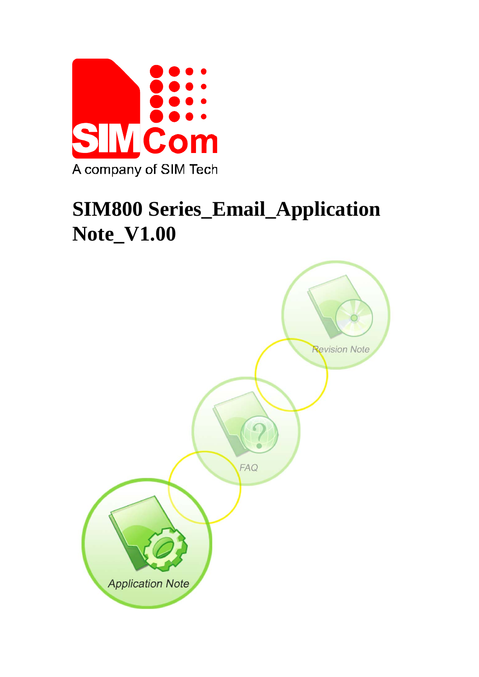

# **SIM800 Series\_Email\_Application Note\_V1.00**

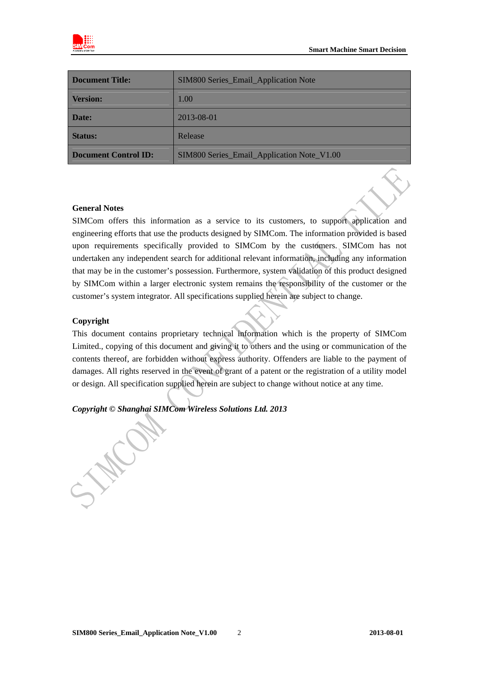



| <b>Document Title:</b>      | SIM800 Series_Email_Application Note       |  |
|-----------------------------|--------------------------------------------|--|
| <b>Version:</b>             | 1.00                                       |  |
| Date:                       | 2013-08-01                                 |  |
| <b>Status:</b>              | Release                                    |  |
| <b>Document Control ID:</b> | SIM800 Series_Email_Application Note_V1.00 |  |

### **General Notes**

SIMCom offers this information as a service to its customers, to support application and engineering efforts that use the products designed by SIMCom. The information provided is based upon requirements specifically provided to SIMCom by the customers. SIMCom has not undertaken any independent search for additional relevant information, including any information that may be in the customer's possession. Furthermore, system validation of this product designed by SIMCom within a larger electronic system remains the responsibility of the customer or the customer's system integrator. All specifications supplied herein are subject to change.

### **Copyright**

This document contains proprietary technical information which is the property of SIMCom Limited., copying of this document and giving it to others and the using or communication of the contents thereof, are forbidden without express authority. Offenders are liable to the payment of damages. All rights reserved in the event of grant of a patent or the registration of a utility model or design. All specification supplied herein are subject to change without notice at any time.

### *Copyright © Shanghai SIMCom Wireless Solutions Ltd. 2013*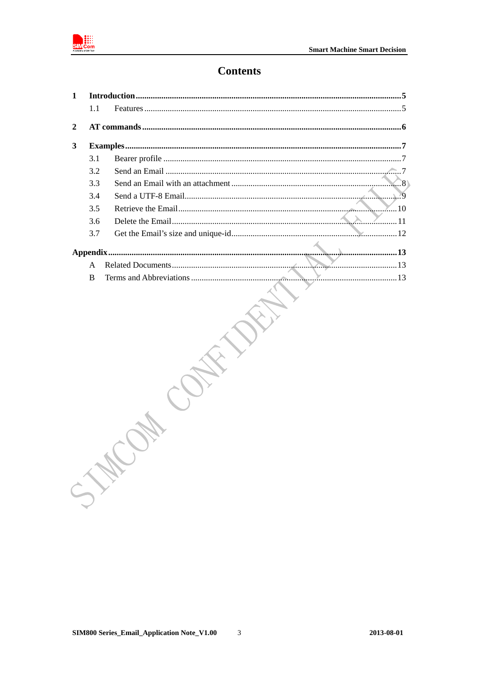

### **Contents**

| $\mathbf{1}$ |        |     |
|--------------|--------|-----|
|              | 1.1    |     |
| 2            |        |     |
| 3            |        |     |
|              | 3.1    |     |
|              | 3.2    |     |
|              | 3.3    | . 8 |
|              | 3.4    |     |
|              | 3.5    |     |
|              | 3.6    |     |
|              | 3.7    |     |
|              |        |     |
|              |        |     |
|              | A<br>B |     |
|              |        |     |
|              |        |     |
|              |        |     |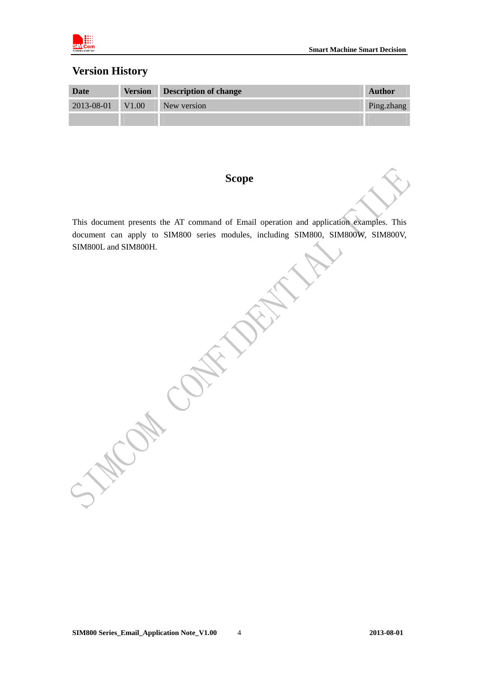

### **Version History**

| Date             | <b>Version Description of change</b> | Author     |
|------------------|--------------------------------------|------------|
| 2013-08-01 V1.00 | New version                          | Ping.zhang |
|                  |                                      |            |

### **Scope**

This document presents the AT command of Email operation and application examples. This document can apply to SIM800 series modules, including SIM800, SIM800W, SIM800V, SIM800L and SIM800H.

ERT.

Cap Cr.

HIC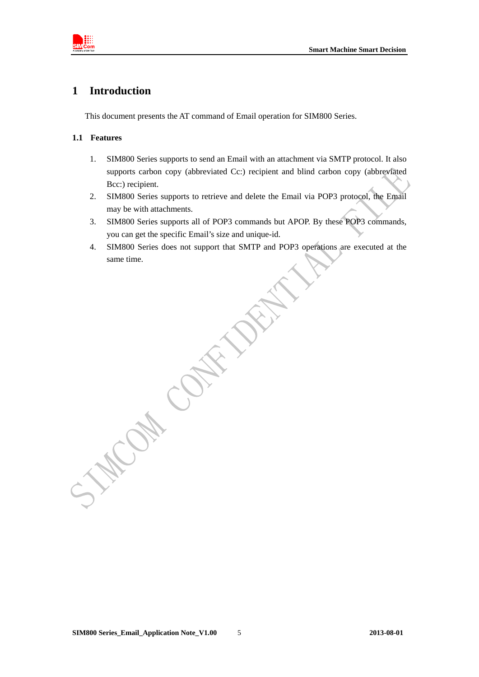<span id="page-4-0"></span>

### **1 Introduction**

This document presents the AT command of Email operation for SIM800 Series.

### **1.1 Features**

- 1. SIM800 Series supports to send an Email with an attachment via SMTP protocol. It also supports carbon copy (abbreviated Cc:) recipient and blind carbon copy (abbreviated Bcc:) recipient.
- 2. SIM800 Series supports to retrieve and delete the Email via POP3 protocol, the Email may be with attachments.
- 3. SIM800 Series supports all of POP3 commands but APOP. By these POP3 commands, you can get the specific Email's size and unique-id.
- 4. SIM800 Series does not support that SMTP and POP3 operations are executed at the same time.

May Can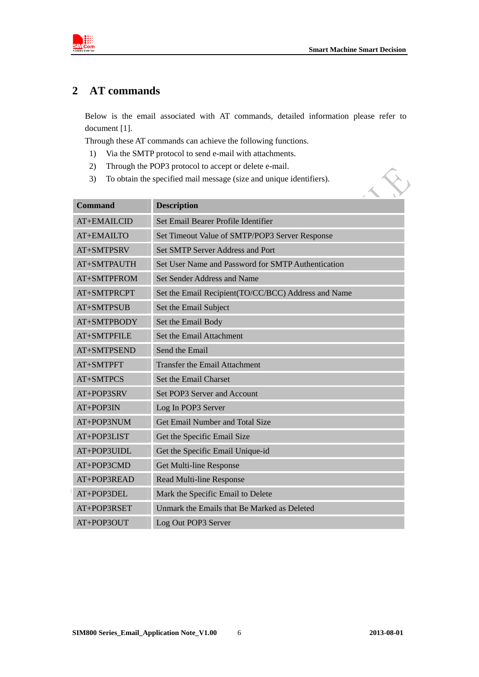

 $\hat{\mathbf{S}}$ 

<span id="page-5-0"></span>

### **2 AT commands**

Below is the email associated with AT commands, detailed information please refer to document [1].

Through these AT commands can achieve the following functions.

- 1) Via the SMTP protocol to send e-mail with attachments.
- 2) Through the POP3 protocol to accept or delete e-mail.
- 3) To obtain the specified mail message (size and unique identifiers).

| <b>Command</b> | <b>Description</b>                                  |
|----------------|-----------------------------------------------------|
| AT+EMAILCID    | Set Email Bearer Profile Identifier                 |
| AT+EMAILTO     | Set Timeout Value of SMTP/POP3 Server Response      |
| AT+SMTPSRV     | <b>Set SMTP Server Address and Port</b>             |
| AT+SMTPAUTH    | Set User Name and Password for SMTP Authentication  |
| AT+SMTPFROM    | Set Sender Address and Name                         |
| AT+SMTPRCPT    | Set the Email Recipient(TO/CC/BCC) Address and Name |
| $AT+SMTPSUB$   | Set the Email Subject                               |
| AT+SMTPBODY    | Set the Email Body                                  |
| AT+SMTPFILE    | Set the Email Attachment                            |
| AT+SMTPSEND    | Send the Email                                      |
| AT+SMTPFT      | <b>Transfer the Email Attachment</b>                |
| AT+SMTPCS      | Set the Email Charset                               |
| AT+POP3SRV     | Set POP3 Server and Account                         |
| AT+POP3IN      | Log In POP3 Server                                  |
| AT+POP3NUM     | Get Email Number and Total Size                     |
| AT+POP3LIST    | Get the Specific Email Size                         |
| AT+POP3UIDL    | Get the Specific Email Unique-id                    |
| AT+POP3CMD     | Get Multi-line Response                             |
| AT+POP3READ    | Read Multi-line Response                            |
| AT+POP3DEL     | Mark the Specific Email to Delete                   |
| AT+POP3RSET    | Unmark the Emails that Be Marked as Deleted         |
| $AT+POP3OUT$   | Log Out POP3 Server                                 |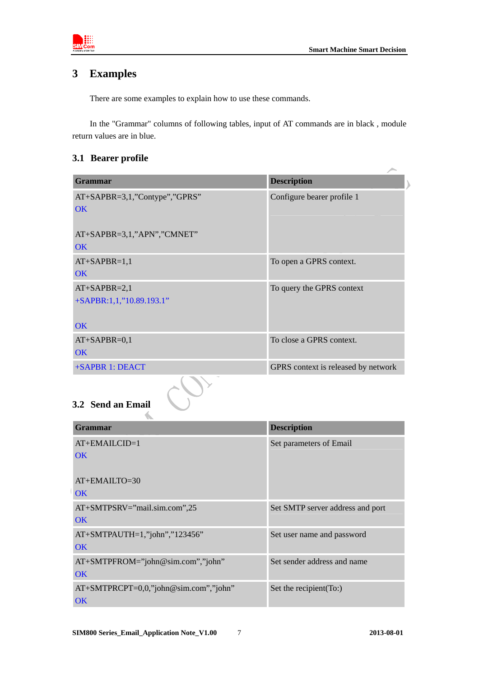<span id="page-6-0"></span>

### **3 Examples**

There are some examples to explain how to use these commands.

In the "Grammar" columns of following tables, input of AT commands are in black , module return values are in blue.

### **3.1 Bearer profile**

| <b>Grammar</b>                | <b>Description</b>                  |
|-------------------------------|-------------------------------------|
| AT+SAPBR=3,1,"Contype","GPRS" | Configure bearer profile 1          |
| OK                            |                                     |
| AT+SAPBR=3,1,"APN","CMNET"    |                                     |
| OK                            |                                     |
| $AT+SAPBR=1,1$                | To open a GPRS context.             |
| OK                            |                                     |
| $AT+SAPBR=2,1$                | To query the GPRS context           |
| +SAPBR:1,1,"10.89.193.1"      |                                     |
| <b>OK</b>                     |                                     |
| $AT+SAPBR=0,1$                | To close a GPRS context.            |
| <b>OK</b>                     |                                     |
| +SAPBR 1: DEACT               | GPRS context is released by network |
| 3.2 Send an Email             |                                     |

## **3.2 Send an Email**

 $\Delta$ 

| <b>START</b><br>Grammar               | <b>Description</b>               |
|---------------------------------------|----------------------------------|
| $AT+EMAILCID=1$                       | Set parameters of Email          |
| <b>OK</b>                             |                                  |
| $AT+EMAILTO=30$<br><b>OK</b>          |                                  |
| $AT+SMTPSRV=$ "mail.sim.com",25       | Set SMTP server address and port |
| OK                                    |                                  |
| AT+SMTPAUTH=1,"john","123456"         | Set user name and password       |
| OK                                    |                                  |
| AT+SMTPFROM="john@sim.com","john"     | Set sender address and name      |
| OK                                    |                                  |
| AT+SMTPRCPT=0,0,"john@sim.com","john" | Set the recipient (To:)          |
| $\overline{\text{OK}}$                |                                  |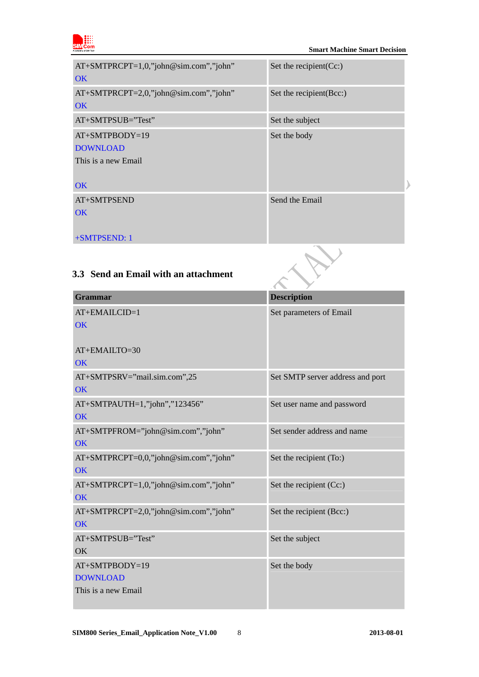<span id="page-7-0"></span>

| AT+SMTPRCPT=1,0,"john@sim.com","john"<br><b>OK</b>                      | Set the recipient $(Cc)$ |
|-------------------------------------------------------------------------|--------------------------|
| $AT+SMTPRCPT=2,0,"john@sim.com",''john"$<br><b>OK</b>                   | Set the recipient (Bcc:) |
| $AT+SMTPSUB="Test"$                                                     | Set the subject          |
| $AT+SMTPBODY=19$<br><b>DOWNLOAD</b><br>This is a new Email<br><b>OK</b> | Set the body             |
| AT+SMTPSEND<br>OK<br>+SMTPSEND: 1                                       | Send the Email           |

### **3.3 Send an Email with an attachment**

| TOMI I I OLIND. I                                        |                                  |
|----------------------------------------------------------|----------------------------------|
| 3.3 Send an Email with an attachment                     |                                  |
| <b>Grammar</b>                                           | <b>Description</b>               |
| AT+EMAILCID=1<br><b>OK</b>                               | Set parameters of Email          |
| AT+EMAILTO=30<br>OK                                      |                                  |
| AT+SMTPSRV="mail.sim.com",25<br><b>OK</b>                | Set SMTP server address and port |
| AT+SMTPAUTH=1,"john","123456"<br>OK                      | Set user name and password       |
| AT+SMTPFROM="john@sim.com","john"<br><b>OK</b>           | Set sender address and name      |
| AT+SMTPRCPT=0,0,"john@sim.com","john"<br>OK              | Set the recipient (To:)          |
| AT+SMTPRCPT=1,0,"john@sim.com","john"<br><b>OK</b>       | Set the recipient (Cc:)          |
| AT+SMTPRCPT=2,0,"john@sim.com","john"<br>OK              | Set the recipient (Bcc:)         |
| AT+SMTPSUB="Test"<br>OK                                  | Set the subject                  |
| AT+SMTPBODY=19<br><b>DOWNLOAD</b><br>This is a new Email | Set the body                     |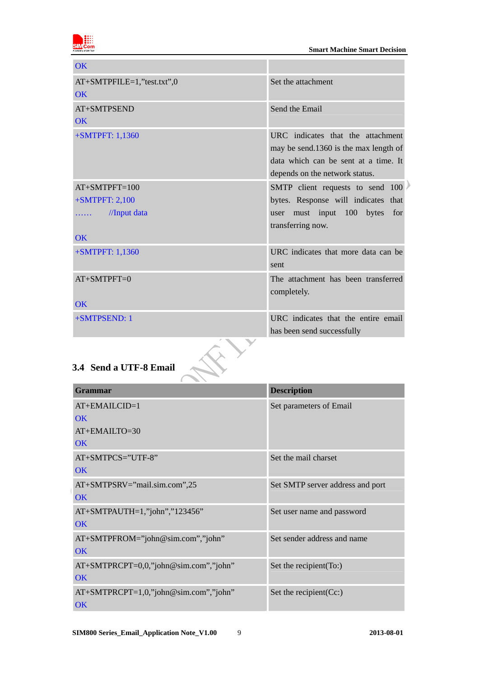

<span id="page-8-0"></span>

| OK                                                   |                                                                                                                                                      |
|------------------------------------------------------|------------------------------------------------------------------------------------------------------------------------------------------------------|
| AT+SMTPFILE=1,"test.txt",0<br>$\overline{\text{OK}}$ | Set the attachment                                                                                                                                   |
| AT+SMTPSEND                                          | Send the Email                                                                                                                                       |
| $\overline{\text{OK}}$                               |                                                                                                                                                      |
| +SMTPFT: 1,1360                                      | URC indicates that the attachment<br>may be send.1360 is the max length of<br>data which can be sent at a time. It<br>depends on the network status. |
| $AT+SMTPFT=100$                                      | SMTP client requests to send 100                                                                                                                     |
| $+$ SMTPFT: 2,100                                    | bytes. Response will indicates that                                                                                                                  |
| //Input data<br>$\cdots$                             | must input<br>100<br>bytes<br>for<br>user<br>transferring now.                                                                                       |
| $\overline{\text{OK}}$                               |                                                                                                                                                      |
| +SMTPFT: 1,1360                                      | URC indicates that more data can be<br>sent                                                                                                          |
| $AT+SMTPFT=0$                                        | The attachment has been transferred<br>completely.                                                                                                   |
| $\overline{\text{OK}}$                               |                                                                                                                                                      |
| +SMTPSEND: 1                                         | URC indicates that the entire email<br>has been send successfully                                                                                    |
| 3.4 Send a UTF-8 Email                               |                                                                                                                                                      |

| <b>Grammar</b>                           | <b>Description</b>               |
|------------------------------------------|----------------------------------|
| $AT+EMAILCID=1$                          | Set parameters of Email          |
| OK                                       |                                  |
| AT+EMAILTO=30                            |                                  |
| <b>OK</b>                                |                                  |
| AT+SMTPCS="UTF-8"                        | Set the mail charset             |
| <b>OK</b>                                |                                  |
| AT+SMTPSRV="mail.sim.com",25             | Set SMTP server address and port |
| <b>OK</b>                                |                                  |
| AT+SMTPAUTH=1,"john","123456"            | Set user name and password       |
| $\overline{\text{OK}}$                   |                                  |
| AT+SMTPFROM="john@sim.com","john"        | Set sender address and name      |
| <b>OK</b>                                |                                  |
| $AT+SMTPRCPT=0,0,"john@sim.com",john"$   | Set the recipient (To:)          |
| <b>OK</b>                                |                                  |
| $AT+SMTPRCPT=1,0,"john@sim.com",''john"$ | Set the recipient $(Cc)$         |
| <b>OK</b>                                |                                  |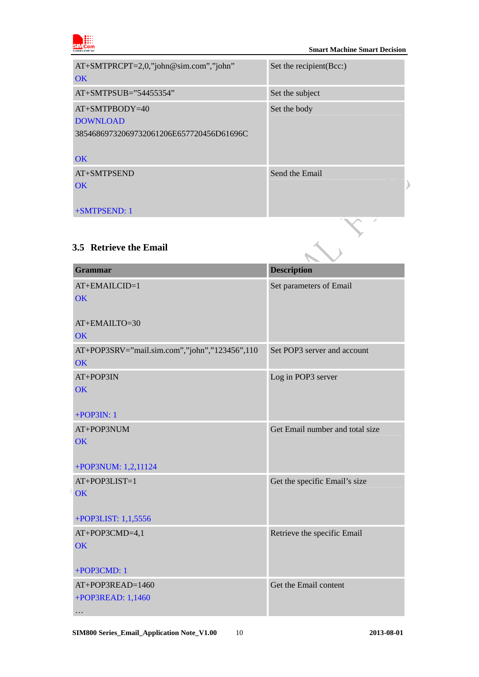<span id="page-9-0"></span>

| $AT+SMTPRCPT=2,0,"john@sim.com",''john"$<br>OK                                        | Set the recipient (Bcc:) |
|---------------------------------------------------------------------------------------|--------------------------|
| $AT+SMTPSUB="54455354"$                                                               | Set the subject          |
| $AT+SMTPBODY=40$<br><b>DOWNLOAD</b><br>38546869732069732061206E657720456D61696C<br>OK | Set the body             |
| AT+SMTPSEND<br>OK<br>+SMTPSEND: 1                                                     | Send the Email           |

### **3.5 Retrieve the Email**

| <b>Grammar</b>                                | <b>Description</b>              |
|-----------------------------------------------|---------------------------------|
| AT+EMAILCID=1                                 | Set parameters of Email         |
| <b>OK</b>                                     |                                 |
| AT+EMAILTO=30                                 |                                 |
| OK                                            |                                 |
| AT+POP3SRV="mail.sim.com","john","123456",110 | Set POP3 server and account     |
| <b>OK</b>                                     |                                 |
| AT+POP3IN                                     | Log in POP3 server              |
| OK                                            |                                 |
| $+$ POP3IN: 1                                 |                                 |
| AT+POP3NUM                                    | Get Email number and total size |
| <b>OK</b>                                     |                                 |
|                                               |                                 |
| +POP3NUM: 1,2,11124                           |                                 |
| AT+POP3LIST=1                                 | Get the specific Email's size   |
| OK                                            |                                 |
| +POP3LIST: 1,1,5556                           |                                 |
| AT+POP3CMD=4,1                                | Retrieve the specific Email     |
| OK                                            |                                 |
|                                               |                                 |
| +POP3CMD: 1                                   |                                 |
| AT+POP3READ=1460                              | Get the Email content           |
| +POP3READ: 1,1460                             |                                 |
| .                                             |                                 |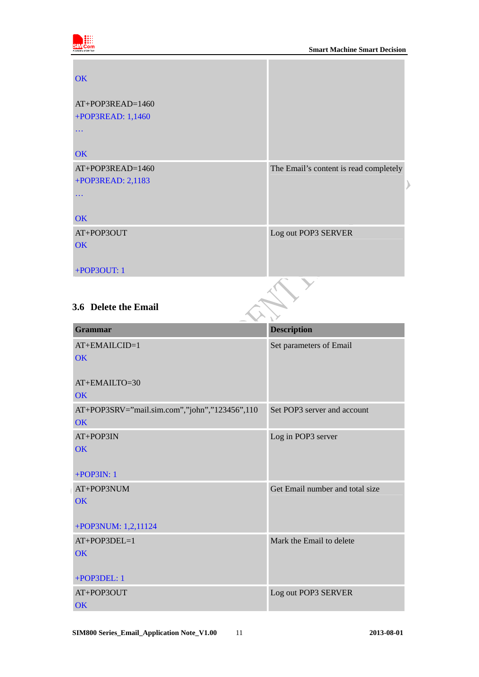<span id="page-10-0"></span>

| <b>OK</b>          |                                        |
|--------------------|----------------------------------------|
| $AT+POP3READ=1460$ |                                        |
| +POP3READ: 1,1460  |                                        |
| $\ddotsc$          |                                        |
| OK                 |                                        |
| AT+POP3READ=1460   | The Email's content is read completely |
| +POP3READ: 2,1183  |                                        |
|                    |                                        |
|                    |                                        |
| OK                 |                                        |
| AT+POP3OUT         | Log out POP3 SERVER                    |
| <b>OK</b>          |                                        |
|                    |                                        |
| +POP3OUT: 1        |                                        |

### **3.6 Delete the Email**

| <b>Grammar</b>                                | <b>Description</b>              |
|-----------------------------------------------|---------------------------------|
| AT+EMAILCID=1                                 | Set parameters of Email         |
| <b>OK</b>                                     |                                 |
|                                               |                                 |
| AT+EMAILTO=30                                 |                                 |
| $\overline{\text{OK}}$                        |                                 |
| AT+POP3SRV="mail.sim.com","john","123456",110 | Set POP3 server and account     |
| $\overline{\text{OK}}$                        |                                 |
| AT+POP3IN                                     | Log in POP3 server              |
| <b>OK</b>                                     |                                 |
|                                               |                                 |
| $+$ POP3IN: 1                                 |                                 |
| AT+POP3NUM                                    | Get Email number and total size |
| $\overline{\text{OK}}$                        |                                 |
|                                               |                                 |
| +POP3NUM: 1,2,11124                           |                                 |
| $AT+POP3DEL=1$                                | Mark the Email to delete        |
| OK                                            |                                 |
|                                               |                                 |
| +POP3DEL: 1                                   |                                 |
| AT+POP3OUT                                    | Log out POP3 SERVER             |
| OK                                            |                                 |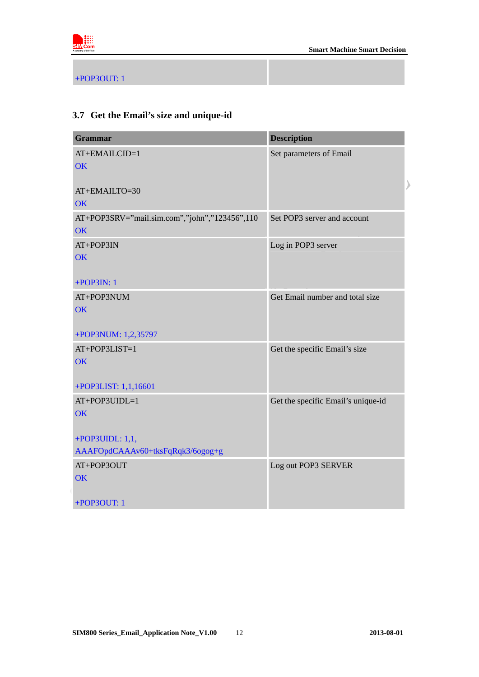<span id="page-11-0"></span>

+POP3OUT: 1

### **3.7 Get the Email's size and unique-id**

| <b>Grammar</b>                                      | <b>Description</b>                 |
|-----------------------------------------------------|------------------------------------|
| AT+EMAILCID=1<br>OK                                 | Set parameters of Email            |
| AT+EMAILTO=30<br><b>OK</b>                          |                                    |
| AT+POP3SRV="mail.sim.com","john","123456",110<br>OK | Set POP3 server and account        |
| AT+POP3IN<br><b>OK</b>                              | Log in POP3 server                 |
| $+$ POP3IN: 1<br>AT+POP3NUM<br><b>OK</b>            | Get Email number and total size    |
| +POP3NUM: 1,2,35797                                 |                                    |
| AT+POP3LIST=1<br>OK                                 | Get the specific Email's size      |
| +POP3LIST: 1,1,16601                                |                                    |
| AT+POP3UIDL=1<br>OK                                 | Get the specific Email's unique-id |
| +POP3UIDL: $1,1,$                                   |                                    |
| AAAFOpdCAAAv60+tksFqRqk3/6ogog+g                    |                                    |
| AT+POP3OUT<br>OK                                    | Log out POP3 SERVER                |
| +POP3OUT: 1                                         |                                    |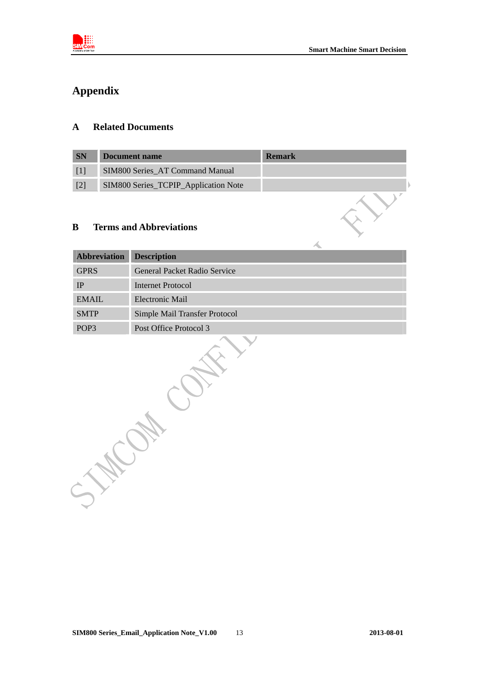<span id="page-12-0"></span>

### **Appendix**

### **A Related Documents**

| <b>SN</b> | Document name                        | <b>Remark</b> |
|-----------|--------------------------------------|---------------|
|           | SIM800 Series AT Command Manual      |               |
| $[2]$     | SIM800 Series_TCPIP_Application Note |               |

### **B Terms and Abbreviations**

| <b>Abbreviation</b> | <b>Description</b>            |
|---------------------|-------------------------------|
| <b>GPRS</b>         | General Packet Radio Service  |
| <b>IP</b>           | <b>Internet Protocol</b>      |
| <b>EMAIL</b>        | Electronic Mail               |
| <b>SMTP</b>         | Simple Mail Transfer Protocol |
| POP <sub>3</sub>    | Post Office Protocol 3        |